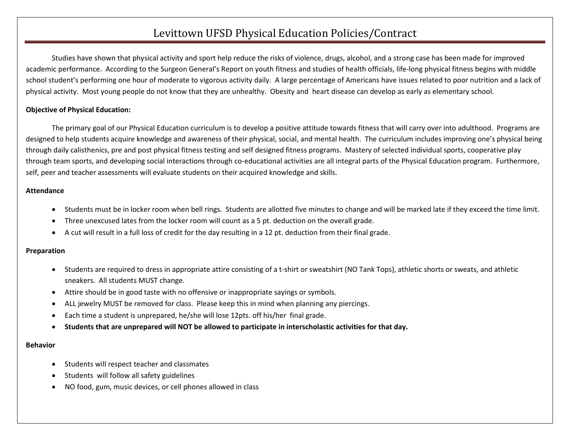# Levittown UFSD Physical Education Policies/Contract

Studies have shown that physical activity and sport help reduce the risks of violence, drugs, alcohol, and a strong case has been made for improved academic performance. According to the Surgeon General's Report on youth fitness and studies of health officials, life-long physical fitness begins with middle school student's performing one hour of moderate to vigorous activity daily. A large percentage of Americans have issues related to poor nutrition and a lack of physical activity. Most young people do not know that they are unhealthy. Obesity and heart disease can develop as early as elementary school.

## **Objective of Physical Education:**

The primary goal of our Physical Education curriculum is to develop a positive attitude towards fitness that will carry over into adulthood. Programs are designed to help students acquire knowledge and awareness of their physical, social, and mental health. The curriculum includes improving one's physical being through daily calisthenics, pre and post physical fitness testing and self designed fitness programs. Mastery of selected individual sports, cooperative play through team sports, and developing social interactions through co-educational activities are all integral parts of the Physical Education program. Furthermore, self, peer and teacher assessments will evaluate students on their acquired knowledge and skills.

### **Attendance**

- Students must be in locker room when bell rings. Students are allotted five minutes to change and will be marked late if they exceed the time limit.
- Three unexcused lates from the locker room will count as a 5 pt. deduction on the overall grade.
- A cut will result in a full loss of credit for the day resulting in a 12 pt. deduction from their final grade.

### **Preparation**

- Students are required to dress in appropriate attire consisting of a t-shirt or sweatshirt (NO Tank Tops), athletic shorts or sweats, and athletic sneakers. All students MUST change.
- Attire should be in good taste with no offensive or inappropriate sayings or symbols.
- ALL jewelry MUST be removed for class. Please keep this in mind when planning any piercings.
- Each time a student is unprepared, he/she will lose 12pts. off his/her final grade.
- **Students that are unprepared will NOT be allowed to participate in interscholastic activities for that day.**

#### **Behavior**

- Students will respect teacher and classmates
- Students will follow all safety guidelines
- NO food, gum, music devices, or cell phones allowed in class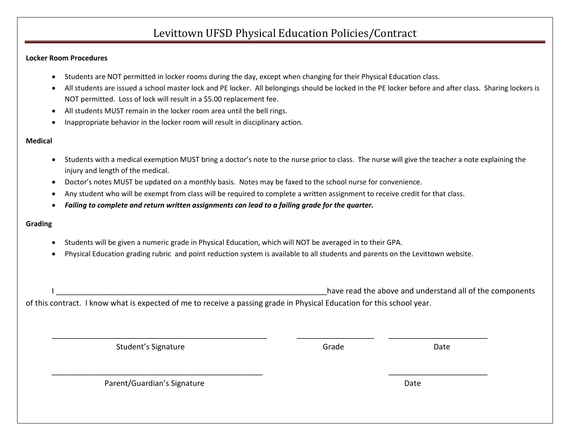# Levittown UFSD Physical Education Policies/Contract

#### **Locker Room Procedures**

- Students are NOT permitted in locker rooms during the day, except when changing for their Physical Education class.
- All students are issued a school master lock and PE locker. All belongings should be locked in the PE locker before and after class. Sharing lockers is NOT permitted. Loss of lock will result in a \$5.00 replacement fee.
- All students MUST remain in the locker room area until the bell rings.
- Inappropriate behavior in the locker room will result in disciplinary action.

### **Medical**

- Students with a medical exemption MUST bring a doctor's note to the nurse prior to class. The nurse will give the teacher a note explaining the injury and length of the medical.
- Doctor's notes MUST be updated on a monthly basis. Notes may be faxed to the school nurse for convenience.
- Any student who will be exempt from class will be required to complete a written assignment to receive credit for that class.
- *Failing to complete and return written assignments can lead to a failing grade for the quarter.*

### **Grading**

- Students will be given a numeric grade in Physical Education, which will NOT be averaged in to their GPA.
- Physical Education grading rubric and point reduction system is available to all students and parents on the Levittown website.

have read the above and understand all of the components of this contract. I know what is expected of me to receive a passing grade in Physical Education for this school year.

| Student's Signature         | Grade | Date |  |
|-----------------------------|-------|------|--|
|                             |       |      |  |
| Parent/Guardian's Signature |       | Date |  |